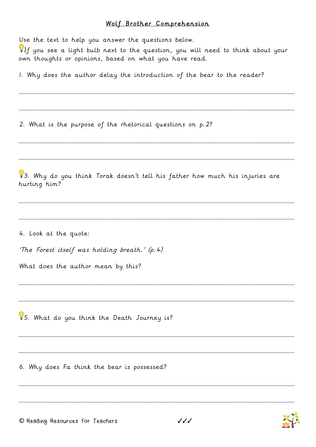## Wolf Brother Comprehension

Use the text to help you answer the questions below.

If you see a light bulb next to the question, you will need to think about your own thoughts or opinions, based on what you have read.

I. Why does the author delay the introduction of the bear to the reader?

2. What is the purpose of the rhetorical questions on p. 2?

 $\sqrt{3}$ . Why do you think Torak doesn't tell his father how much his injuries are hurting him?

4. Look at the quote:

'The Forest itself was holding breath.' (p. 4)

What does the author mean by this?

85. What do you think the Death Journey is?

6. Why does Fa think the bear is possessed?